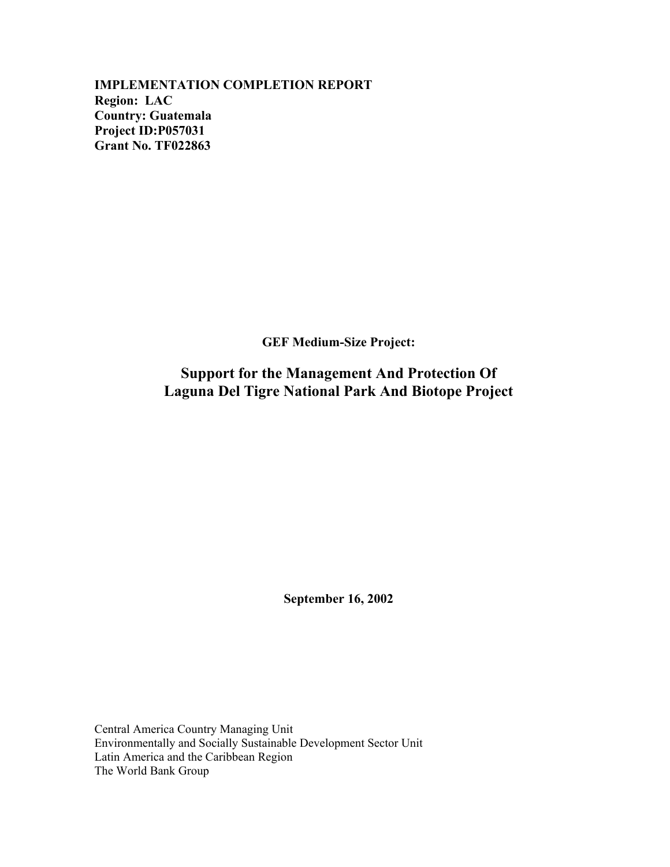**IMPLEMENTATION COMPLETION REPORT Region: LAC Country: Guatemala Project ID:P057031 Grant No. TF022863** 

**GEF Medium-Size Project:**

**Support for the Management And Protection Of Laguna Del Tigre National Park And Biotope Project**

**September 16, 2002**

Central America Country Managing Unit Environmentally and Socially Sustainable Development Sector Unit Latin America and the Caribbean Region The World Bank Group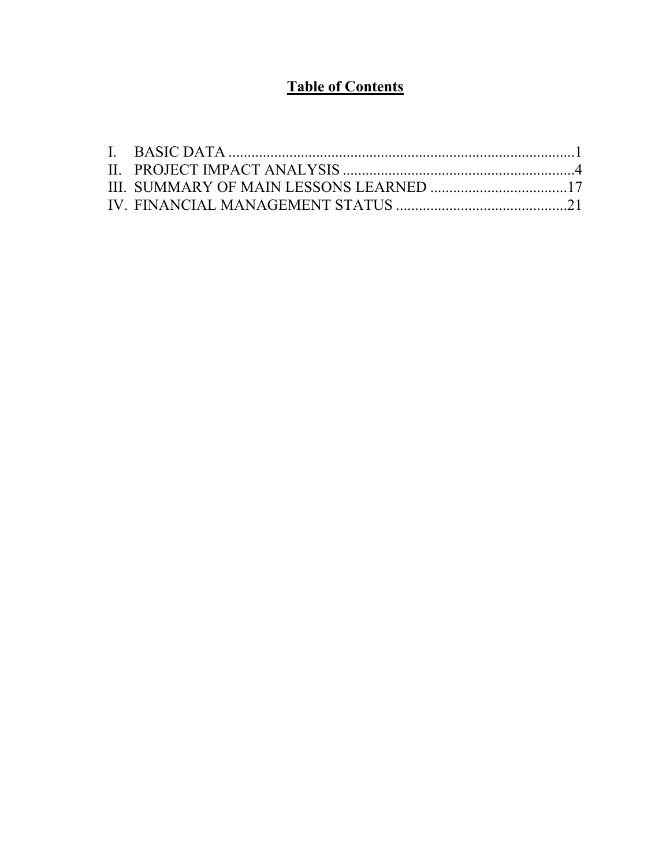# **Table of Contents**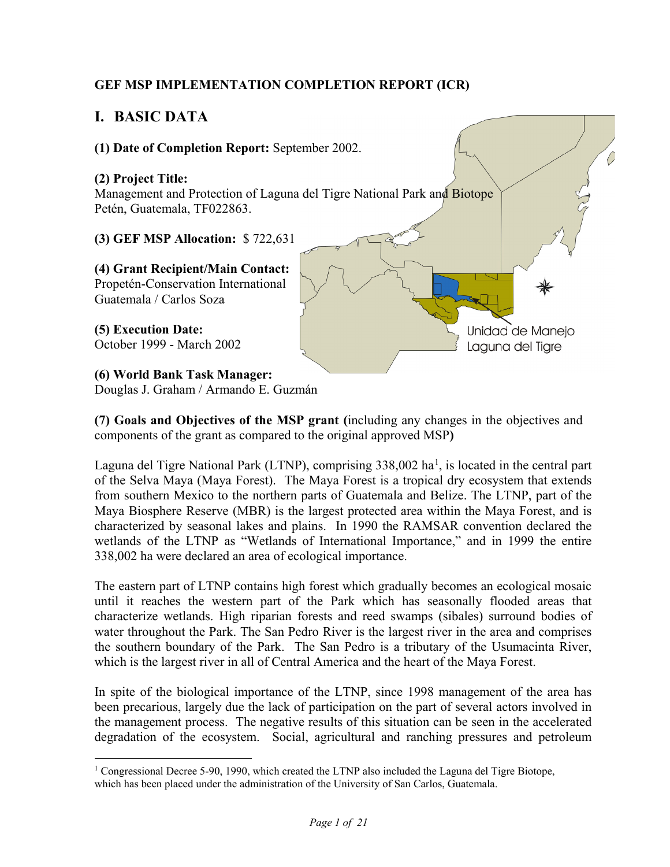# **GEF MSP IMPLEMENTATION COMPLETION REPORT (ICR)**

# <span id="page-2-0"></span>**I. BASIC DATA**

 $\overline{a}$ 



Douglas J. Graham / Armando E. Guzmán

**(7) Goals and Objectives of the MSP grant (**including any changes in the objectives and components of the grant as compared to the original approved MSP**)** 

Laguna del Tigre National Park (LTNP), comprising  $338,002$  ha<sup>[1](#page-2-1)</sup>, is located in the central part of the Selva Maya (Maya Forest). The Maya Forest is a tropical dry ecosystem that extends from southern Mexico to the northern parts of Guatemala and Belize. The LTNP, part of the Maya Biosphere Reserve (MBR) is the largest protected area within the Maya Forest, and is characterized by seasonal lakes and plains. In 1990 the RAMSAR convention declared the wetlands of the LTNP as "Wetlands of International Importance," and in 1999 the entire 338,002 ha were declared an area of ecological importance.

The eastern part of LTNP contains high forest which gradually becomes an ecological mosaic until it reaches the western part of the Park which has seasonally flooded areas that characterize wetlands. High riparian forests and reed swamps (sibales) surround bodies of water throughout the Park. The San Pedro River is the largest river in the area and comprises the southern boundary of the Park. The San Pedro is a tributary of the Usumacinta River, which is the largest river in all of Central America and the heart of the Maya Forest.

In spite of the biological importance of the LTNP, since 1998 management of the area has been precarious, largely due the lack of participation on the part of several actors involved in the management process. The negative results of this situation can be seen in the accelerated degradation of the ecosystem. Social, agricultural and ranching pressures and petroleum

<span id="page-2-1"></span><sup>&</sup>lt;sup>1</sup> Congressional Decree 5-90, 1990, which created the LTNP also included the Laguna del Tigre Biotope, which has been placed under the administration of the University of San Carlos, Guatemala.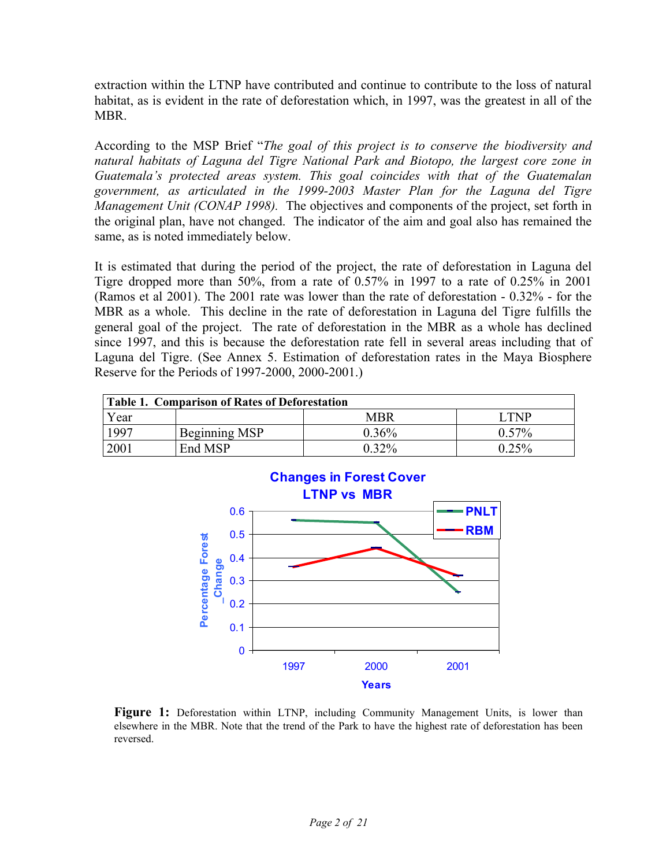extraction within the LTNP have contributed and continue to contribute to the loss of natural habitat, as is evident in the rate of deforestation which, in 1997, was the greatest in all of the MBR.

According to the MSP Brief "*The goal of this project is to conserve the biodiversity and natural habitats of Laguna del Tigre National Park and Biotopo, the largest core zone in Guatemala's protected areas system. This goal coincides with that of the Guatemalan government, as articulated in the 1999-2003 Master Plan for the Laguna del Tigre Management Unit (CONAP 1998).* The objectives and components of the project, set forth in the original plan, have not changed. The indicator of the aim and goal also has remained the same, as is noted immediately below.

It is estimated that during the period of the project, the rate of deforestation in Laguna del Tigre dropped more than 50%, from a rate of 0.57% in 1997 to a rate of 0.25% in 2001 (Ramos et al 2001). The 2001 rate was lower than the rate of deforestation - 0.32% - for the MBR as a whole. This decline in the rate of deforestation in Laguna del Tigre fulfills the general goal of the project. The rate of deforestation in the MBR as a whole has declined since 1997, and this is because the deforestation rate fell in several areas including that of Laguna del Tigre. (See Annex 5. Estimation of deforestation rates in the Maya Biosphere Reserve for the Periods of 1997-2000, 2000-2001.)

| <b>Table 1. Comparison of Rates of Deforestation</b> |               |            |       |
|------------------------------------------------------|---------------|------------|-------|
| Year                                                 |               | <b>MBR</b> | I TNP |
| 997                                                  | Beginning MSP | $0.36\%$   | 0.57% |
| 2001                                                 | End MSP       | $0.32\%$   | 0 25% |



**Figure 1:** Deforestation within LTNP, including Community Management Units, is lower than elsewhere in the MBR. Note that the trend of the Park to have the highest rate of deforestation has been reversed.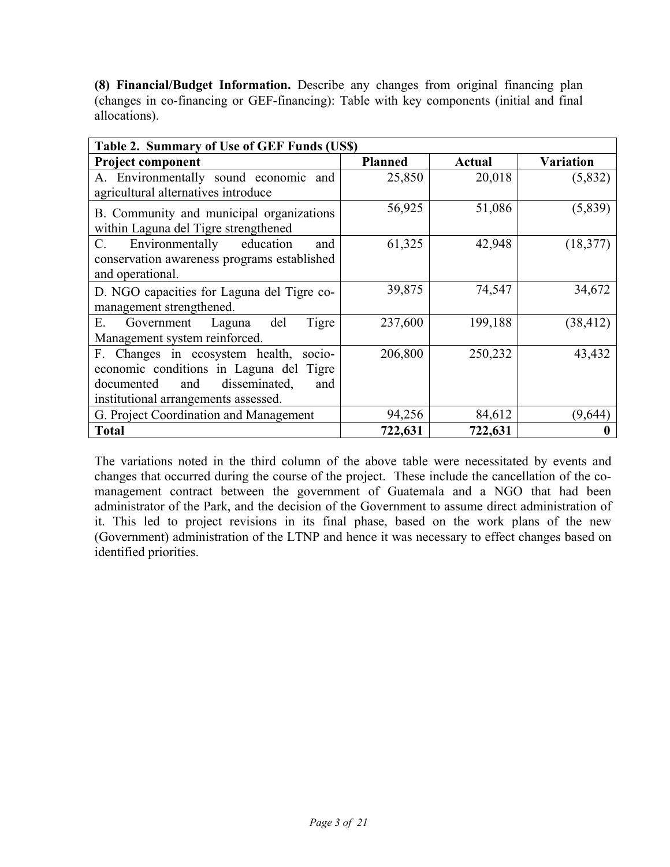**(8) Financial/Budget Information.** Describe any changes from original financing plan (changes in co-financing or GEF-financing): Table with key components (initial and final allocations).

| Table 2. Summary of Use of GEF Funds (USS)  |                |         |           |
|---------------------------------------------|----------------|---------|-----------|
| <b>Project component</b>                    | <b>Planned</b> | Actual  | Variation |
| A. Environmentally sound economic and       | 25,850         | 20,018  | (5,832)   |
| agricultural alternatives introduce         |                |         |           |
| B. Community and municipal organizations    | 56,925         | 51,086  | (5,839)   |
| within Laguna del Tigre strengthened        |                |         |           |
| Environmentally<br>education<br>C.<br>and   | 61,325         | 42,948  | (18, 377) |
| conservation awareness programs established |                |         |           |
| and operational.                            |                |         |           |
| D. NGO capacities for Laguna del Tigre co-  | 39,875         | 74,547  | 34,672    |
| management strengthened.                    |                |         |           |
| del<br>Tigre<br>Е.<br>Government Laguna     | 237,600        | 199,188 | (38, 412) |
| Management system reinforced.               |                |         |           |
| F. Changes in ecosystem health,<br>$socio-$ | 206,800        | 250,232 | 43,432    |
| economic conditions in Laguna del Tigre     |                |         |           |
| disseminated,<br>documented<br>and<br>and   |                |         |           |
| institutional arrangements assessed.        |                |         |           |
| G. Project Coordination and Management      | 94,256         | 84,612  | (9,644)   |
| Total                                       | 722,631        | 722,631 |           |

The variations noted in the third column of the above table were necessitated by events and changes that occurred during the course of the project. These include the cancellation of the comanagement contract between the government of Guatemala and a NGO that had been administrator of the Park, and the decision of the Government to assume direct administration of it. This led to project revisions in its final phase, based on the work plans of the new (Government) administration of the LTNP and hence it was necessary to effect changes based on identified priorities.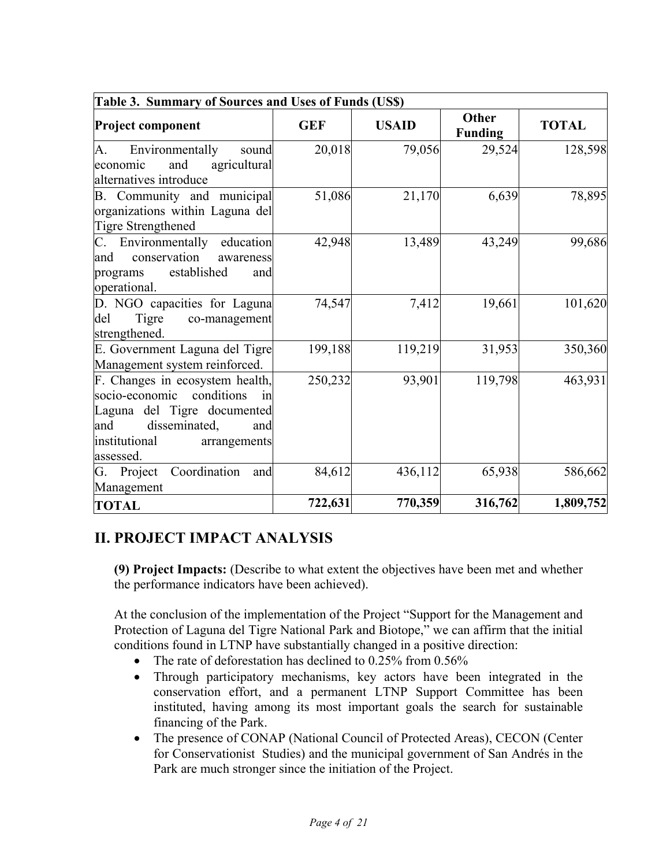| Table 3. Summary of Sources and Uses of Funds (US\$)                                                                                                                              |            |              |                                |              |
|-----------------------------------------------------------------------------------------------------------------------------------------------------------------------------------|------------|--------------|--------------------------------|--------------|
| <b>Project component</b>                                                                                                                                                          | <b>GEF</b> | <b>USAID</b> | <b>Other</b><br><b>Funding</b> | <b>TOTAL</b> |
| A.<br>Environmentally<br>sound<br>and<br>agricultural<br>economic<br>alternatives introduce                                                                                       | 20,018     | 79,056       | 29,524                         | 128,598      |
| B. Community and municipal<br>organizations within Laguna del<br>Tigre Strengthened                                                                                               | 51,086     | 21,170       | 6,639                          | 78,895       |
| C. Environmentally<br>education<br>conservation<br>and<br>awareness<br>established<br>programs<br>and<br>operational.                                                             | 42,948     | 13,489       | 43,249                         | 99,686       |
| D. NGO capacities for Laguna<br>del<br>Tigre<br>co-management<br>strengthened.                                                                                                    | 74,547     | 7,412        | 19,661                         | 101,620      |
| E. Government Laguna del Tigre<br>Management system reinforced.                                                                                                                   | 199,188    | 119,219      | 31,953                         | 350,360      |
| F. Changes in ecosystem health,<br>conditions<br>socio-economic<br>1n<br>Laguna del Tigre documented<br>disseminated,<br>and<br>and<br>institutional<br>arrangements<br>assessed. | 250,232    | 93,901       | 119,798                        | 463,931      |
| Coordination<br>G. Project<br>and<br>Management                                                                                                                                   | 84,612     | 436,112      | 65,938                         | 586,662      |
| <b>TOTAL</b>                                                                                                                                                                      | 722,631    | 770,359      | 316,762                        | 1,809,752    |

# <span id="page-5-0"></span>**II. PROJECT IMPACT ANALYSIS**

**(9) Project Impacts:** (Describe to what extent the objectives have been met and whether the performance indicators have been achieved).

At the conclusion of the implementation of the Project "Support for the Management and Protection of Laguna del Tigre National Park and Biotope," we can affirm that the initial conditions found in LTNP have substantially changed in a positive direction:

- The rate of deforestation has declined to 0.25% from 0.56%
- Through participatory mechanisms, key actors have been integrated in the conservation effort, and a permanent LTNP Support Committee has been instituted, having among its most important goals the search for sustainable financing of the Park.
- The presence of CONAP (National Council of Protected Areas), CECON (Center for Conservationist Studies) and the municipal government of San Andrés in the Park are much stronger since the initiation of the Project.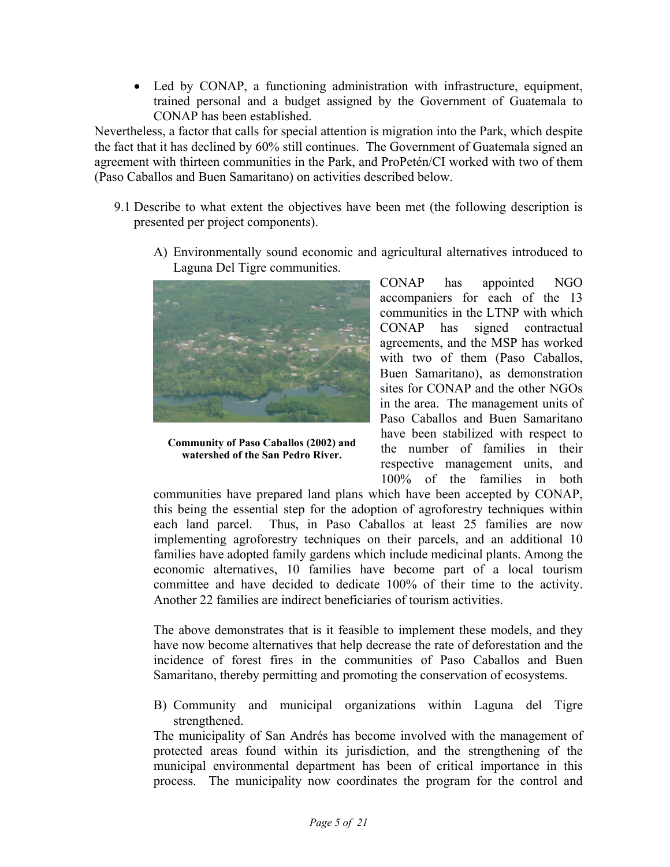• Led by CONAP, a functioning administration with infrastructure, equipment, trained personal and a budget assigned by the Government of Guatemala to CONAP has been established.

Nevertheless, a factor that calls for special attention is migration into the Park, which despite the fact that it has declined by 60% still continues. The Government of Guatemala signed an agreement with thirteen communities in the Park, and ProPetén/CI worked with two of them (Paso Caballos and Buen Samaritano) on activities described below.

- 9.1 Describe to what extent the objectives have been met (the following description is presented per project components).
	- A) Environmentally sound economic and agricultural alternatives introduced to Laguna Del Tigre communities.



**Community of Paso Caballos (2002) and watershed of the San Pedro River.**

CONAP has appointed NGO accompaniers for each of the 13 communities in the LTNP with which CONAP has signed contractual agreements, and the MSP has worked with two of them (Paso Caballos, Buen Samaritano), as demonstration sites for CONAP and the other NGOs in the area. The management units of Paso Caballos and Buen Samaritano have been stabilized with respect to the number of families in their respective management units, and 100% of the families in both

communities have prepared land plans which have been accepted by CONAP, this being the essential step for the adoption of agroforestry techniques within each land parcel. Thus, in Paso Caballos at least 25 families are now implementing agroforestry techniques on their parcels, and an additional 10 families have adopted family gardens which include medicinal plants. Among the economic alternatives, 10 families have become part of a local tourism committee and have decided to dedicate 100% of their time to the activity. Another 22 families are indirect beneficiaries of tourism activities.

The above demonstrates that is it feasible to implement these models, and they have now become alternatives that help decrease the rate of deforestation and the incidence of forest fires in the communities of Paso Caballos and Buen Samaritano, thereby permitting and promoting the conservation of ecosystems.

B) Community and municipal organizations within Laguna del Tigre strengthened.

The municipality of San Andrés has become involved with the management of protected areas found within its jurisdiction, and the strengthening of the municipal environmental department has been of critical importance in this process. The municipality now coordinates the program for the control and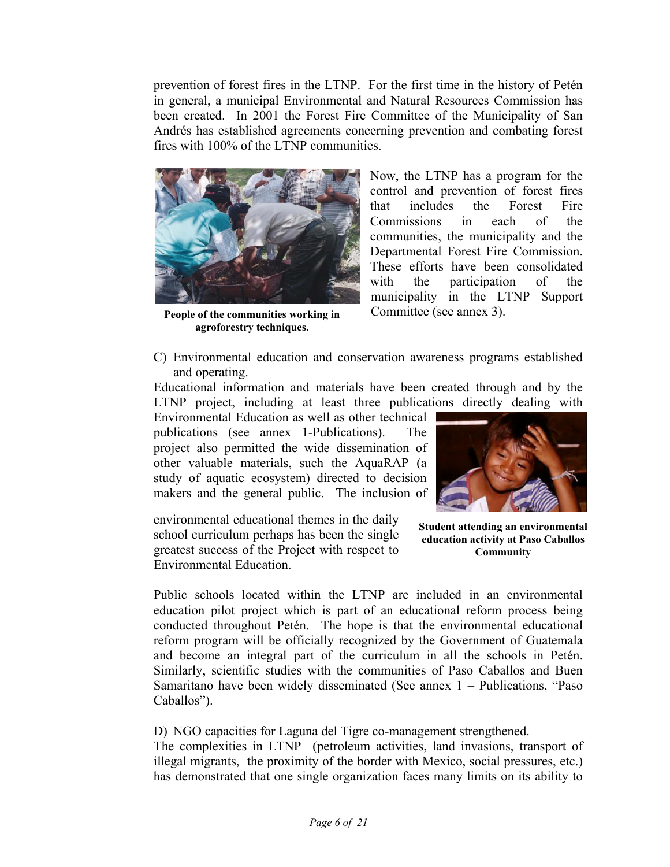prevention of forest fires in the LTNP. For the first time in the history of Petén in general, a municipal Environmental and Natural Resources Commission has been created. In 2001 the Forest Fire Committee of the Municipality of San Andrés has established agreements concerning prevention and combating forest fires with 100% of the LTNP communities.



**People of the communities working in agroforestry techniques.**

Now, the LTNP has a program for the control and prevention of forest fires that includes the Forest Fire Commissions in each of the communities, the municipality and the Departmental Forest Fire Commission. These efforts have been consolidated with the participation of the municipality in the LTNP Support Committee (see annex 3).

C) Environmental education and conservation awareness programs established and operating.

Educational information and materials have been created through and by the LTNP project, including at least three publications directly dealing with

Environmental Education as well as other technical publications (see annex 1-Publications). The project also permitted the wide dissemination of other valuable materials, such the AquaRAP (a study of aquatic ecosystem) directed to decision makers and the general public. The inclusion of

environmental educational themes in the daily school curriculum perhaps has been the single greatest success of the Project with respect to Environmental Education.



**Student attending an environmental education activity at Paso Caballos Community**

Public schools located within the LTNP are included in an environmental education pilot project which is part of an educational reform process being conducted throughout Petén. The hope is that the environmental educational reform program will be officially recognized by the Government of Guatemala and become an integral part of the curriculum in all the schools in Petén. Similarly, scientific studies with the communities of Paso Caballos and Buen Samaritano have been widely disseminated (See annex 1 – Publications, "Paso Caballos").

D) NGO capacities for Laguna del Tigre co-management strengthened.

The complexities in LTNP (petroleum activities, land invasions, transport of illegal migrants, the proximity of the border with Mexico, social pressures, etc.) has demonstrated that one single organization faces many limits on its ability to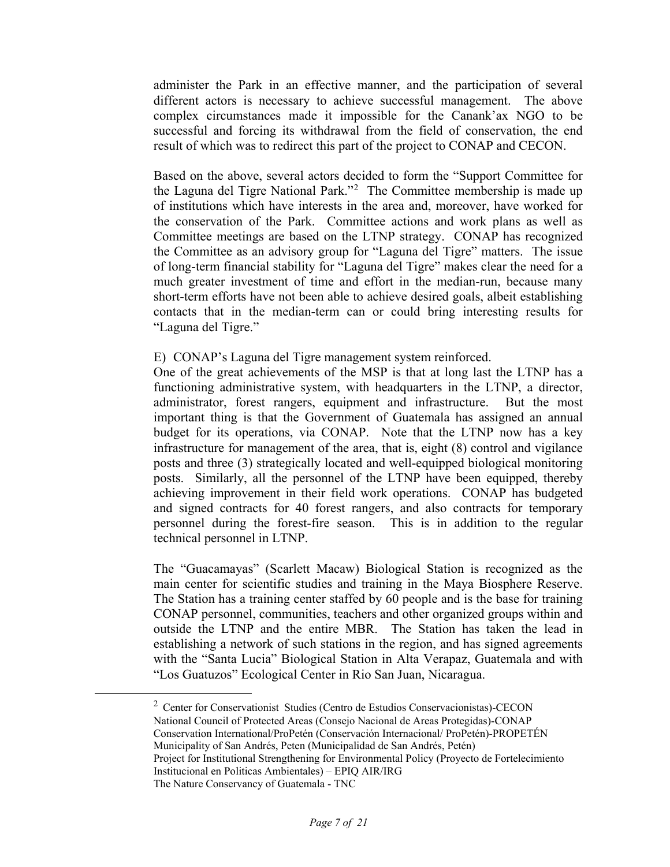administer the Park in an effective manner, and the participation of several different actors is necessary to achieve successful management. The above complex circumstances made it impossible for the Canank'ax NGO to be successful and forcing its withdrawal from the field of conservation, the end result of which was to redirect this part of the project to CONAP and CECON.

Based on the above, several actors decided to form the "Support Committee for the Laguna del Tigre National Park."<sup>[2](#page-8-0)</sup> The Committee membership is made up of institutions which have interests in the area and, moreover, have worked for the conservation of the Park. Committee actions and work plans as well as Committee meetings are based on the LTNP strategy. CONAP has recognized the Committee as an advisory group for "Laguna del Tigre" matters. The issue of long-term financial stability for "Laguna del Tigre" makes clear the need for a much greater investment of time and effort in the median-run, because many short-term efforts have not been able to achieve desired goals, albeit establishing contacts that in the median-term can or could bring interesting results for "Laguna del Tigre."

E) CONAP's Laguna del Tigre management system reinforced.

One of the great achievements of the MSP is that at long last the LTNP has a functioning administrative system, with headquarters in the LTNP, a director, administrator, forest rangers, equipment and infrastructure. But the most important thing is that the Government of Guatemala has assigned an annual budget for its operations, via CONAP. Note that the LTNP now has a key infrastructure for management of the area, that is, eight (8) control and vigilance posts and three (3) strategically located and well-equipped biological monitoring posts. Similarly, all the personnel of the LTNP have been equipped, thereby achieving improvement in their field work operations. CONAP has budgeted and signed contracts for 40 forest rangers, and also contracts for temporary personnel during the forest-fire season. This is in addition to the regular technical personnel in LTNP.

The "Guacamayas" (Scarlett Macaw) Biological Station is recognized as the main center for scientific studies and training in the Maya Biosphere Reserve. The Station has a training center staffed by 60 people and is the base for training CONAP personnel, communities, teachers and other organized groups within and outside the LTNP and the entire MBR. The Station has taken the lead in establishing a network of such stations in the region, and has signed agreements with the "Santa Lucia" Biological Station in Alta Verapaz, Guatemala and with "Los Guatuzos" Ecological Center in Rio San Juan, Nicaragua.

<span id="page-8-0"></span> $\overline{\qquad \qquad }$  $2$  Center for Conservationist Studies (Centro de Estudios Conservacionistas)-CECON National Council of Protected Areas (Consejo Nacional de Areas Protegidas)-CONAP Conservation International/ProPetén (Conservación Internacional/ ProPetén)-PROPETÉN Municipality of San Andrés, Peten (Municipalidad de San Andrés, Petén) Project for Institutional Strengthening for Environmental Policy (Proyecto de Fortelecimiento Institucional en Politicas Ambientales) – EPIQ AIR/IRG The Nature Conservancy of Guatemala - TNC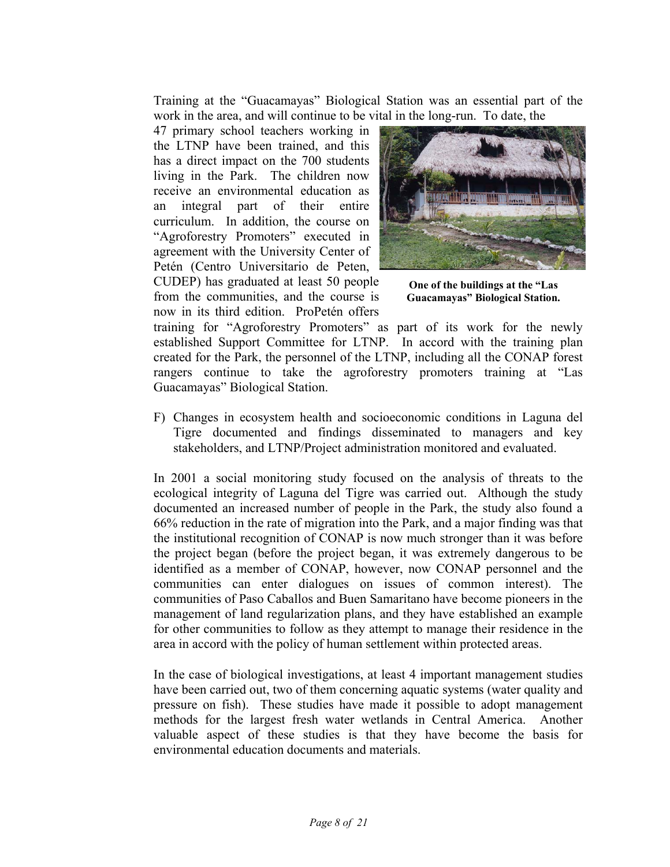Training at the "Guacamayas" Biological Station was an essential part of the work in the area, and will continue to be vital in the long-run. To date, the

47 primary school teachers working in the LTNP have been trained, and this has a direct impact on the 700 students living in the Park. The children now receive an environmental education as an integral part of their entire curriculum. In addition, the course on "Agroforestry Promoters" executed in agreement with the University Center of Petén (Centro Universitario de Peten,

CUDEP) has graduated at least 50 people from the communities, and the course is now in its third edition. ProPetén offers



**One of the buildings at the "Las Guacamayas" Biological Station.**

training for "Agroforestry Promoters" as part of its work for the newly established Support Committee for LTNP. In accord with the training plan created for the Park, the personnel of the LTNP, including all the CONAP forest rangers continue to take the agroforestry promoters training at "Las Guacamayas" Biological Station.

F) Changes in ecosystem health and socioeconomic conditions in Laguna del Tigre documented and findings disseminated to managers and key stakeholders, and LTNP/Project administration monitored and evaluated.

In 2001 a social monitoring study focused on the analysis of threats to the ecological integrity of Laguna del Tigre was carried out. Although the study documented an increased number of people in the Park, the study also found a 66% reduction in the rate of migration into the Park, and a major finding was that the institutional recognition of CONAP is now much stronger than it was before the project began (before the project began, it was extremely dangerous to be identified as a member of CONAP, however, now CONAP personnel and the communities can enter dialogues on issues of common interest). The communities of Paso Caballos and Buen Samaritano have become pioneers in the management of land regularization plans, and they have established an example for other communities to follow as they attempt to manage their residence in the area in accord with the policy of human settlement within protected areas.

In the case of biological investigations, at least 4 important management studies have been carried out, two of them concerning aquatic systems (water quality and pressure on fish). These studies have made it possible to adopt management methods for the largest fresh water wetlands in Central America. Another valuable aspect of these studies is that they have become the basis for environmental education documents and materials.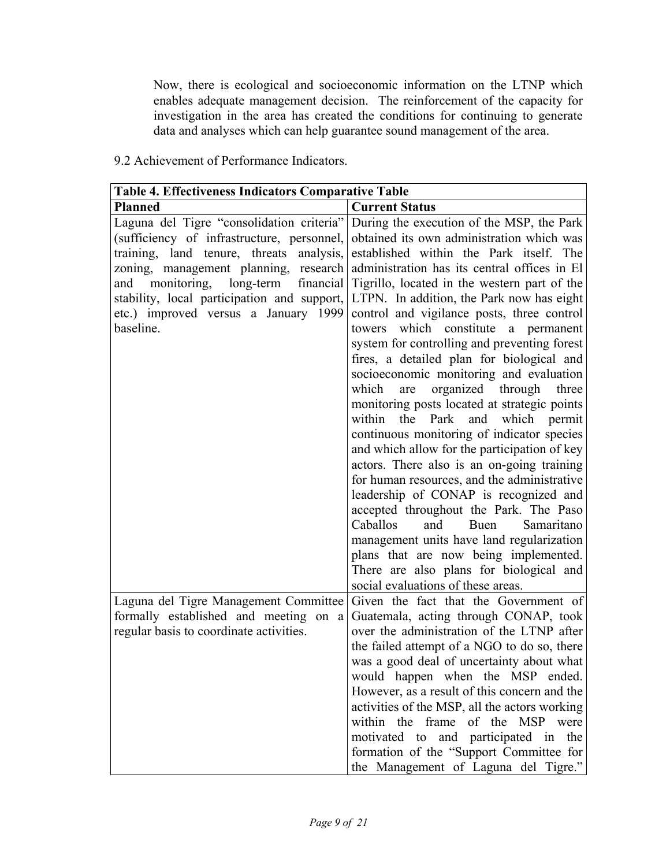Now, there is ecological and socioeconomic information on the LTNP which enables adequate management decision. The reinforcement of the capacity for investigation in the area has created the conditions for continuing to generate data and analyses which can help guarantee sound management of the area.

| 9.2 Achievement of Performance Indicators. |  |  |
|--------------------------------------------|--|--|
|--------------------------------------------|--|--|

| <b>Table 4. Effectiveness Indicators Comparative Table</b>                                                                                                                                                                                                                                                                    |                                                                                                                                                                                                                                                                                                                                                                                                                                                                                                                                                                                                                                                                                  |
|-------------------------------------------------------------------------------------------------------------------------------------------------------------------------------------------------------------------------------------------------------------------------------------------------------------------------------|----------------------------------------------------------------------------------------------------------------------------------------------------------------------------------------------------------------------------------------------------------------------------------------------------------------------------------------------------------------------------------------------------------------------------------------------------------------------------------------------------------------------------------------------------------------------------------------------------------------------------------------------------------------------------------|
| Planned                                                                                                                                                                                                                                                                                                                       | <b>Current Status</b>                                                                                                                                                                                                                                                                                                                                                                                                                                                                                                                                                                                                                                                            |
| Laguna del Tigre "consolidation criteria"<br>(sufficiency of infrastructure, personnel,<br>training, land tenure, threats<br>analysis,<br>zoning, management planning, research<br>monitoring, long-term financial<br>and<br>stability, local participation and support,<br>etc.) improved versus a January 1999<br>baseline. | During the execution of the MSP, the Park<br>obtained its own administration which was<br>established within the Park itself. The<br>administration has its central offices in El<br>Tigrillo, located in the western part of the<br>LTPN. In addition, the Park now has eight<br>control and vigilance posts, three control<br>towers which constitute a permanent<br>system for controlling and preventing forest<br>fires, a detailed plan for biological and                                                                                                                                                                                                                 |
|                                                                                                                                                                                                                                                                                                                               | socioeconomic monitoring and evaluation<br>organized through three<br>which<br>are<br>monitoring posts located at strategic points<br>within<br>the<br>Park<br>and<br>which permit<br>continuous monitoring of indicator species<br>and which allow for the participation of key<br>actors. There also is an on-going training<br>for human resources, and the administrative<br>leadership of CONAP is recognized and<br>accepted throughout the Park. The Paso<br>Caballos<br>Samaritano<br>and<br>Buen<br>management units have land regularization<br>plans that are now being implemented.<br>There are also plans for biological and<br>social evaluations of these areas. |
| Laguna del Tigre Management Committee<br>formally established and meeting on a<br>regular basis to coordinate activities.                                                                                                                                                                                                     | Given the fact that the Government of<br>Guatemala, acting through CONAP, took<br>over the administration of the LTNP after<br>the failed attempt of a NGO to do so, there                                                                                                                                                                                                                                                                                                                                                                                                                                                                                                       |
|                                                                                                                                                                                                                                                                                                                               | was a good deal of uncertainty about what<br>would happen when the MSP ended.<br>However, as a result of this concern and the<br>activities of the MSP, all the actors working<br>within the frame of the MSP<br>were<br>motivated to and participated in the<br>formation of the "Support Committee for<br>the Management of Laguna del Tigre."                                                                                                                                                                                                                                                                                                                                 |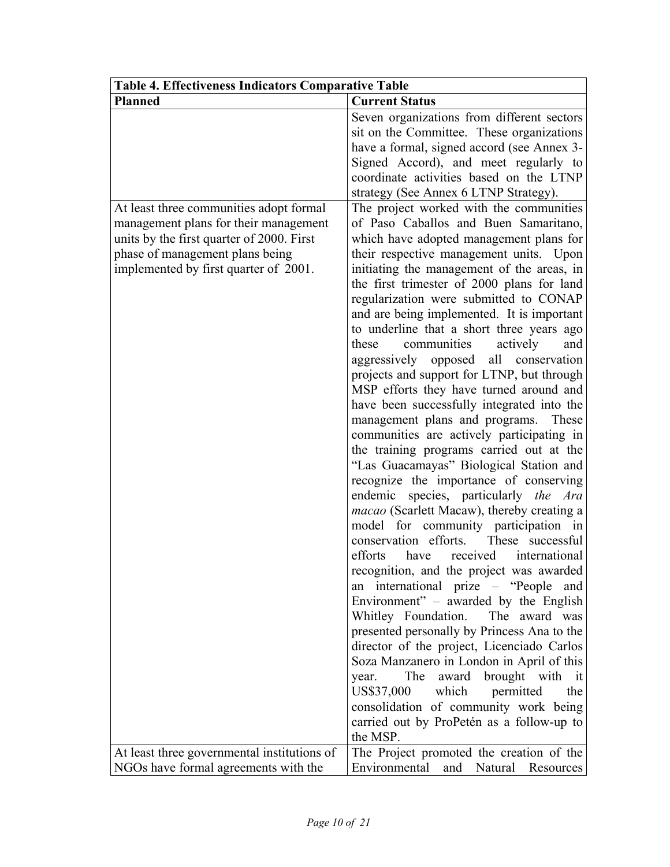| <b>Table 4. Effectiveness Indicators Comparative Table</b> |                                                                                   |  |  |
|------------------------------------------------------------|-----------------------------------------------------------------------------------|--|--|
| <b>Planned</b>                                             | <b>Current Status</b>                                                             |  |  |
|                                                            | Seven organizations from different sectors                                        |  |  |
|                                                            | sit on the Committee. These organizations                                         |  |  |
|                                                            | have a formal, signed accord (see Annex 3-                                        |  |  |
|                                                            | Signed Accord), and meet regularly to                                             |  |  |
|                                                            | coordinate activities based on the LTNP                                           |  |  |
|                                                            | strategy (See Annex 6 LTNP Strategy).                                             |  |  |
| At least three communities adopt formal                    | The project worked with the communities                                           |  |  |
| management plans for their management                      | of Paso Caballos and Buen Samaritano,                                             |  |  |
| units by the first quarter of 2000. First                  | which have adopted management plans for                                           |  |  |
| phase of management plans being                            | their respective management units. Upon                                           |  |  |
| implemented by first quarter of 2001.                      | initiating the management of the areas, in                                        |  |  |
|                                                            | the first trimester of 2000 plans for land                                        |  |  |
|                                                            | regularization were submitted to CONAP                                            |  |  |
|                                                            | and are being implemented. It is important                                        |  |  |
|                                                            | to underline that a short three years ago                                         |  |  |
|                                                            | communities<br>these<br>actively<br>and                                           |  |  |
|                                                            | aggressively opposed all conservation                                             |  |  |
|                                                            | projects and support for LTNP, but through                                        |  |  |
|                                                            | MSP efforts they have turned around and                                           |  |  |
|                                                            | have been successfully integrated into the                                        |  |  |
|                                                            | management plans and programs.<br>These                                           |  |  |
|                                                            | communities are actively participating in                                         |  |  |
|                                                            | the training programs carried out at the                                          |  |  |
|                                                            | "Las Guacamayas" Biological Station and<br>recognize the importance of conserving |  |  |
|                                                            | endemic species, particularly the Ara                                             |  |  |
|                                                            | macao (Scarlett Macaw), thereby creating a                                        |  |  |
|                                                            | model for community participation in                                              |  |  |
|                                                            | conservation efforts.<br>These successful                                         |  |  |
|                                                            | efforts have received international                                               |  |  |
|                                                            | recognition, and the project was awarded                                          |  |  |
|                                                            | an international prize – "People<br>and                                           |  |  |
|                                                            | Environment" - awarded by the English                                             |  |  |
|                                                            | Whitley Foundation.<br>The award was                                              |  |  |
|                                                            | presented personally by Princess Ana to the                                       |  |  |
|                                                            | director of the project, Licenciado Carlos                                        |  |  |
|                                                            | Soza Manzanero in London in April of this                                         |  |  |
|                                                            | The<br>brought with it<br>award<br>year.                                          |  |  |
|                                                            | US\$37,000<br>which<br>permitted<br>the                                           |  |  |
|                                                            | consolidation of community work being                                             |  |  |
|                                                            | carried out by ProPetén as a follow-up to                                         |  |  |
|                                                            | the MSP.                                                                          |  |  |
| At least three governmental institutions of                | The Project promoted the creation of the                                          |  |  |
| NGOs have formal agreements with the                       | Environmental<br>Natural<br>and<br>Resources                                      |  |  |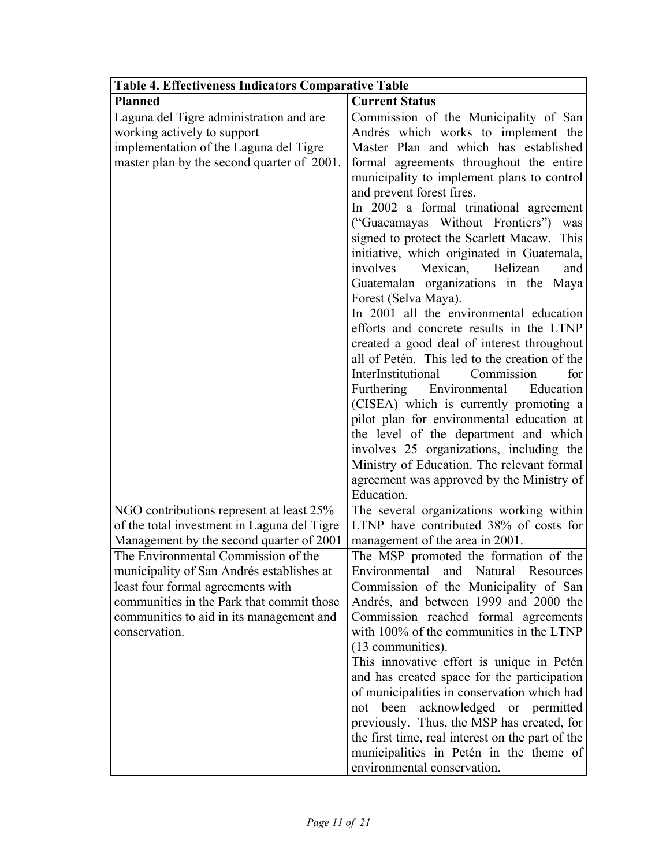| <b>Table 4. Effectiveness Indicators Comparative Table</b> |                                                                                             |  |  |
|------------------------------------------------------------|---------------------------------------------------------------------------------------------|--|--|
| <b>Planned</b>                                             | <b>Current Status</b>                                                                       |  |  |
| Laguna del Tigre administration and are                    | Commission of the Municipality of San                                                       |  |  |
| working actively to support                                | Andrés which works to implement the                                                         |  |  |
| implementation of the Laguna del Tigre                     | Master Plan and which has established                                                       |  |  |
| master plan by the second quarter of 2001.                 | formal agreements throughout the entire                                                     |  |  |
|                                                            | municipality to implement plans to control                                                  |  |  |
|                                                            | and prevent forest fires.                                                                   |  |  |
|                                                            | In 2002 a formal trinational agreement                                                      |  |  |
|                                                            | ("Guacamayas Without Frontiers")<br>was                                                     |  |  |
|                                                            | signed to protect the Scarlett Macaw. This                                                  |  |  |
|                                                            | initiative, which originated in Guatemala,                                                  |  |  |
|                                                            | involves<br>Mexican,<br>Belizean<br>and                                                     |  |  |
|                                                            | Guatemalan organizations in the Maya                                                        |  |  |
|                                                            | Forest (Selva Maya).                                                                        |  |  |
|                                                            | In 2001 all the environmental education                                                     |  |  |
|                                                            | efforts and concrete results in the LTNP                                                    |  |  |
|                                                            | created a good deal of interest throughout<br>all of Petén. This led to the creation of the |  |  |
|                                                            | InterInstitutional<br>Commission<br>for                                                     |  |  |
|                                                            | Furthering Environmental<br>Education                                                       |  |  |
|                                                            | (CISEA) which is currently promoting a                                                      |  |  |
|                                                            | pilot plan for environmental education at                                                   |  |  |
|                                                            | the level of the department and which                                                       |  |  |
|                                                            | involves 25 organizations, including the                                                    |  |  |
|                                                            | Ministry of Education. The relevant formal                                                  |  |  |
|                                                            | agreement was approved by the Ministry of                                                   |  |  |
|                                                            | Education.                                                                                  |  |  |
| NGO contributions represent at least 25%                   | The several organizations working within                                                    |  |  |
| of the total investment in Laguna del Tigre                | LTNP have contributed 38% of costs for                                                      |  |  |
| Management by the second quarter of 2001                   | management of the area in 2001.                                                             |  |  |
| The Environmental Commission of the                        | The MSP promoted the formation of the                                                       |  |  |
| municipality of San Andrés establishes at                  | Environmental and Natural Resources                                                         |  |  |
| least four formal agreements with                          | Commission of the Municipality of San                                                       |  |  |
| communities in the Park that commit those                  | Andrés, and between 1999 and 2000 the                                                       |  |  |
| communities to aid in its management and                   | Commission reached formal agreements                                                        |  |  |
| conservation.                                              | with 100% of the communities in the LTNP                                                    |  |  |
|                                                            | (13 communities).                                                                           |  |  |
|                                                            | This innovative effort is unique in Petén                                                   |  |  |
|                                                            | and has created space for the participation                                                 |  |  |
|                                                            | of municipalities in conservation which had                                                 |  |  |
|                                                            | not been acknowledged or permitted                                                          |  |  |
|                                                            | previously. Thus, the MSP has created, for                                                  |  |  |
|                                                            | the first time, real interest on the part of the                                            |  |  |
|                                                            | municipalities in Petén in the theme of                                                     |  |  |
|                                                            | environmental conservation.                                                                 |  |  |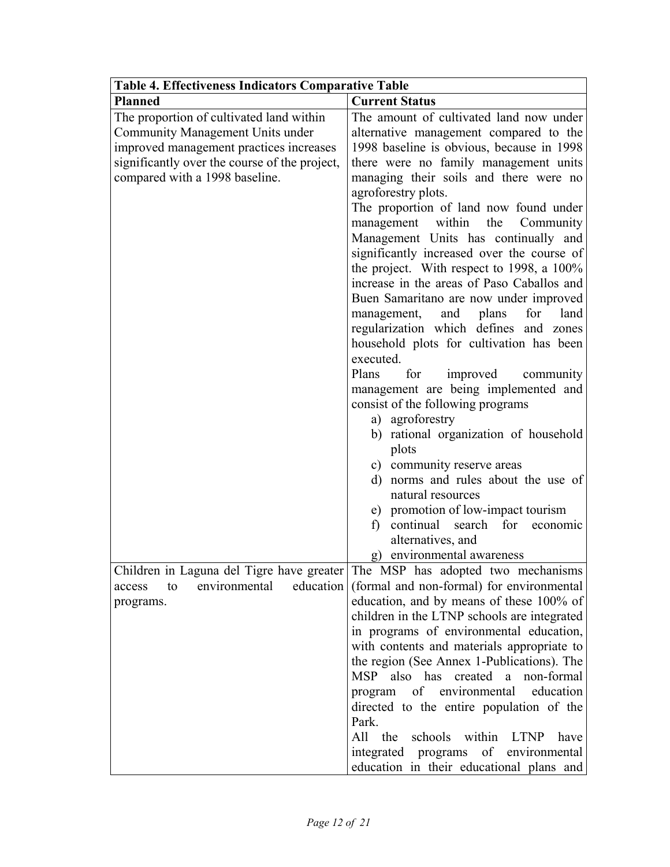| Table 4. Effectiveness Indicators Comparative Table |                                                               |  |  |
|-----------------------------------------------------|---------------------------------------------------------------|--|--|
| <b>Planned</b>                                      | <b>Current Status</b>                                         |  |  |
| The proportion of cultivated land within            | The amount of cultivated land now under                       |  |  |
| Community Management Units under                    | alternative management compared to the                        |  |  |
| improved management practices increases             | 1998 baseline is obvious, because in 1998                     |  |  |
| significantly over the course of the project,       | there were no family management units                         |  |  |
| compared with a 1998 baseline.                      | managing their soils and there were no                        |  |  |
|                                                     | agroforestry plots.                                           |  |  |
|                                                     | The proportion of land now found under                        |  |  |
|                                                     | within<br>the<br>management<br>Community                      |  |  |
|                                                     | Management Units has continually and                          |  |  |
|                                                     | significantly increased over the course of                    |  |  |
|                                                     | the project. With respect to 1998, a 100%                     |  |  |
|                                                     | increase in the areas of Paso Caballos and                    |  |  |
|                                                     | Buen Samaritano are now under improved                        |  |  |
|                                                     | plans<br>and<br>for<br>land<br>management,                    |  |  |
|                                                     | regularization which defines and zones                        |  |  |
|                                                     | household plots for cultivation has been<br>executed.         |  |  |
|                                                     | Plans<br>for                                                  |  |  |
|                                                     | improved<br>community<br>management are being implemented and |  |  |
|                                                     | consist of the following programs                             |  |  |
|                                                     | a) agroforestry                                               |  |  |
|                                                     | b) rational organization of household                         |  |  |
|                                                     | plots                                                         |  |  |
|                                                     | c) community reserve areas                                    |  |  |
|                                                     | d) norms and rules about the use of                           |  |  |
|                                                     | natural resources                                             |  |  |
|                                                     | e) promotion of low-impact tourism                            |  |  |
|                                                     | continual<br>for<br>search<br>$\mathbf{f}$<br>economic        |  |  |
|                                                     | alternatives, and                                             |  |  |
|                                                     | g) environmental awareness                                    |  |  |
| Children in Laguna del Tigre have greater           | The MSP has adopted two mechanisms                            |  |  |
| education<br>environmental<br>to<br>access          | (formal and non-formal) for environmental                     |  |  |
| programs.                                           | education, and by means of these 100% of                      |  |  |
|                                                     | children in the LTNP schools are integrated                   |  |  |
|                                                     | in programs of environmental education,                       |  |  |
|                                                     | with contents and materials appropriate to                    |  |  |
|                                                     | the region (See Annex 1-Publications). The                    |  |  |
|                                                     | MSP also has<br>created a<br>non-formal                       |  |  |
|                                                     | education<br>program of environmental                         |  |  |
|                                                     | directed to the entire population of the                      |  |  |
|                                                     | Park.                                                         |  |  |
|                                                     | All the<br>schools within<br>LTNP<br>have                     |  |  |
|                                                     | integrated programs<br>of environmental                       |  |  |
|                                                     | education in their educational plans and                      |  |  |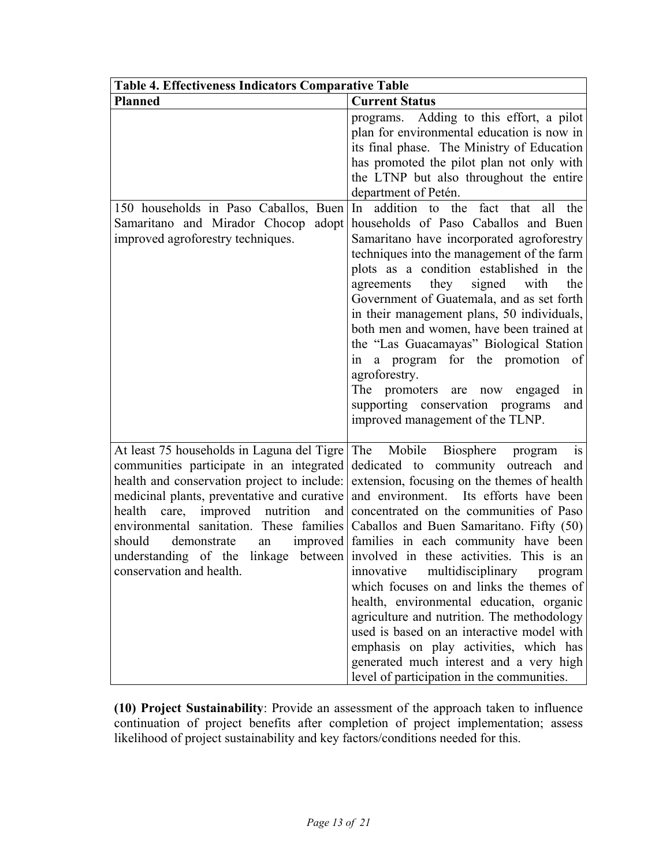| <b>Table 4. Effectiveness Indicators Comparative Table</b>                                                                                                                                                                                                                                                                               |                                                                                                                                                                                                                                                                                                                                                                                                                                                                                                                                                                                                                                                                                                                                                                                                                                                                                                  |  |  |
|------------------------------------------------------------------------------------------------------------------------------------------------------------------------------------------------------------------------------------------------------------------------------------------------------------------------------------------|--------------------------------------------------------------------------------------------------------------------------------------------------------------------------------------------------------------------------------------------------------------------------------------------------------------------------------------------------------------------------------------------------------------------------------------------------------------------------------------------------------------------------------------------------------------------------------------------------------------------------------------------------------------------------------------------------------------------------------------------------------------------------------------------------------------------------------------------------------------------------------------------------|--|--|
| <b>Planned</b>                                                                                                                                                                                                                                                                                                                           | <b>Current Status</b>                                                                                                                                                                                                                                                                                                                                                                                                                                                                                                                                                                                                                                                                                                                                                                                                                                                                            |  |  |
| 150 households in Paso Caballos, Buen<br>Samaritano and Mirador Chocop<br>adopt<br>improved agroforestry techniques.                                                                                                                                                                                                                     | programs. Adding to this effort, a pilot<br>plan for environmental education is now in<br>its final phase. The Ministry of Education<br>has promoted the pilot plan not only with<br>the LTNP but also throughout the entire<br>department of Petén.<br>In addition to the<br>fact that<br>all the<br>households of Paso Caballos and Buen<br>Samaritano have incorporated agroforestry<br>techniques into the management of the farm<br>plots as a condition established in the<br>signed<br>agreements<br>they<br>the<br>with<br>Government of Guatemala, and as set forth<br>in their management plans, 50 individuals,<br>both men and women, have been trained at<br>the "Las Guacamayas" Biological Station<br>in a program for the promotion<br>of<br>agroforestry.<br>The promoters are now engaged<br>in<br>supporting conservation programs<br>and<br>improved management of the TLNP. |  |  |
| At least 75 households in Laguna del Tigre<br>communities participate in an integrated<br>health and conservation project to include:<br>medicinal plants, preventative and curative<br>health<br>care, improved nutrition<br>and<br>environmental sanitation. These families<br>should<br>demonstrate<br>an<br>conservation and health. | is<br>The<br>Mobile<br>Biosphere<br>program<br>dedicated to community outreach and<br>extension, focusing on the themes of health<br>and environment. Its efforts have been<br>concentrated on the communities of Paso<br>Caballos and Buen Samaritano. Fifty (50)<br>improved families in each community have been<br>understanding of the linkage between involved in these activities. This is an<br>multidisciplinary<br>innovative<br>program<br>which focuses on and links the themes of<br>health, environmental education, organic<br>agriculture and nutrition. The methodology<br>used is based on an interactive model with<br>emphasis on play activities, which has<br>generated much interest and a very high<br>level of participation in the communities.                                                                                                                        |  |  |

**(10) Project Sustainability**: Provide an assessment of the approach taken to influence continuation of project benefits after completion of project implementation; assess likelihood of project sustainability and key factors/conditions needed for this.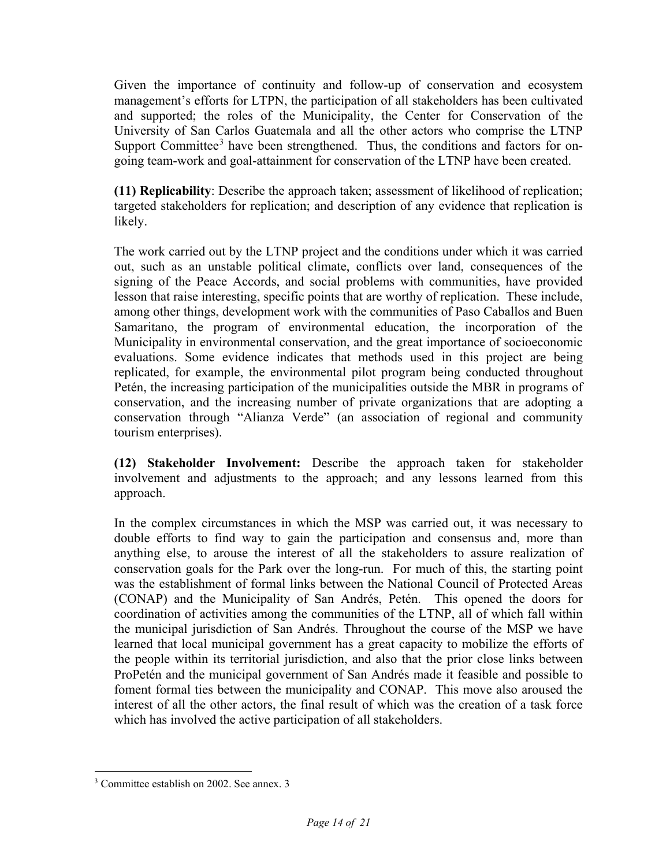Given the importance of continuity and follow-up of conservation and ecosystem management's efforts for LTPN, the participation of all stakeholders has been cultivated and supported; the roles of the Municipality, the Center for Conservation of the University of San Carlos Guatemala and all the other actors who comprise the LTNP Support Committee<sup>[3](#page-15-0)</sup> have been strengthened. Thus, the conditions and factors for ongoing team-work and goal-attainment for conservation of the LTNP have been created.

**(11) Replicability**: Describe the approach taken; assessment of likelihood of replication; targeted stakeholders for replication; and description of any evidence that replication is likely.

The work carried out by the LTNP project and the conditions under which it was carried out, such as an unstable political climate, conflicts over land, consequences of the signing of the Peace Accords, and social problems with communities, have provided lesson that raise interesting, specific points that are worthy of replication. These include, among other things, development work with the communities of Paso Caballos and Buen Samaritano, the program of environmental education, the incorporation of the Municipality in environmental conservation, and the great importance of socioeconomic evaluations. Some evidence indicates that methods used in this project are being replicated, for example, the environmental pilot program being conducted throughout Petén, the increasing participation of the municipalities outside the MBR in programs of conservation, and the increasing number of private organizations that are adopting a conservation through "Alianza Verde" (an association of regional and community tourism enterprises).

**(12) Stakeholder Involvement:** Describe the approach taken for stakeholder involvement and adjustments to the approach; and any lessons learned from this approach.

In the complex circumstances in which the MSP was carried out, it was necessary to double efforts to find way to gain the participation and consensus and, more than anything else, to arouse the interest of all the stakeholders to assure realization of conservation goals for the Park over the long-run. For much of this, the starting point was the establishment of formal links between the National Council of Protected Areas (CONAP) and the Municipality of San Andrés, Petén. This opened the doors for coordination of activities among the communities of the LTNP, all of which fall within the municipal jurisdiction of San Andrés. Throughout the course of the MSP we have learned that local municipal government has a great capacity to mobilize the efforts of the people within its territorial jurisdiction, and also that the prior close links between ProPetén and the municipal government of San Andrés made it feasible and possible to foment formal ties between the municipality and CONAP. This move also aroused the interest of all the other actors, the final result of which was the creation of a task force which has involved the active participation of all stakeholders.

<span id="page-15-0"></span> $\overline{a}$ <sup>3</sup> Committee establish on 2002. See annex. 3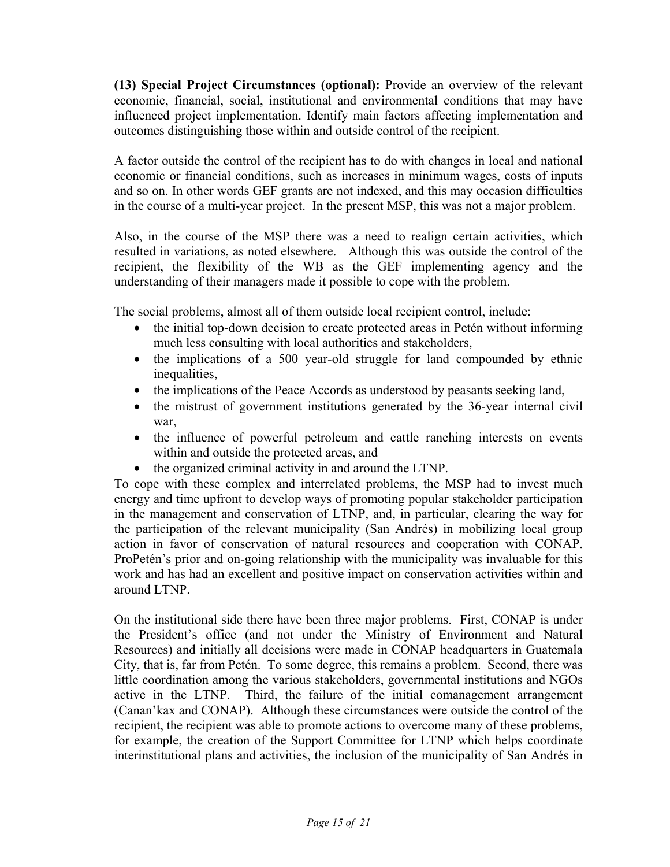**(13) Special Project Circumstances (optional):** Provide an overview of the relevant economic, financial, social, institutional and environmental conditions that may have influenced project implementation. Identify main factors affecting implementation and outcomes distinguishing those within and outside control of the recipient.

A factor outside the control of the recipient has to do with changes in local and national economic or financial conditions, such as increases in minimum wages, costs of inputs and so on. In other words GEF grants are not indexed, and this may occasion difficulties in the course of a multi-year project. In the present MSP, this was not a major problem.

Also, in the course of the MSP there was a need to realign certain activities, which resulted in variations, as noted elsewhere. Although this was outside the control of the recipient, the flexibility of the WB as the GEF implementing agency and the understanding of their managers made it possible to cope with the problem.

The social problems, almost all of them outside local recipient control, include:

- the initial top-down decision to create protected areas in Petén without informing much less consulting with local authorities and stakeholders,
- the implications of a 500 year-old struggle for land compounded by ethnic inequalities,
- the implications of the Peace Accords as understood by peasants seeking land,
- the mistrust of government institutions generated by the 36-year internal civil war,
- the influence of powerful petroleum and cattle ranching interests on events within and outside the protected areas, and
- the organized criminal activity in and around the LTNP.

To cope with these complex and interrelated problems, the MSP had to invest much energy and time upfront to develop ways of promoting popular stakeholder participation in the management and conservation of LTNP, and, in particular, clearing the way for the participation of the relevant municipality (San Andrés) in mobilizing local group action in favor of conservation of natural resources and cooperation with CONAP. ProPetén's prior and on-going relationship with the municipality was invaluable for this work and has had an excellent and positive impact on conservation activities within and around LTNP.

On the institutional side there have been three major problems. First, CONAP is under the President's office (and not under the Ministry of Environment and Natural Resources) and initially all decisions were made in CONAP headquarters in Guatemala City, that is, far from Petén. To some degree, this remains a problem. Second, there was little coordination among the various stakeholders, governmental institutions and NGOs active in the LTNP. Third, the failure of the initial comanagement arrangement (Canan'kax and CONAP). Although these circumstances were outside the control of the recipient, the recipient was able to promote actions to overcome many of these problems, for example, the creation of the Support Committee for LTNP which helps coordinate interinstitutional plans and activities, the inclusion of the municipality of San Andrés in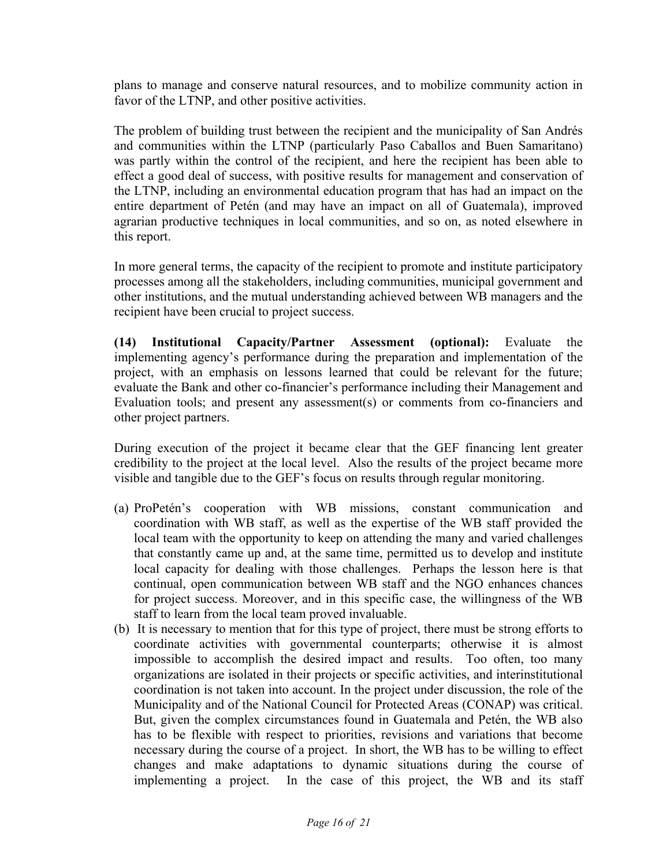plans to manage and conserve natural resources, and to mobilize community action in favor of the LTNP, and other positive activities.

The problem of building trust between the recipient and the municipality of San Andrés and communities within the LTNP (particularly Paso Caballos and Buen Samaritano) was partly within the control of the recipient, and here the recipient has been able to effect a good deal of success, with positive results for management and conservation of the LTNP, including an environmental education program that has had an impact on the entire department of Petén (and may have an impact on all of Guatemala), improved agrarian productive techniques in local communities, and so on, as noted elsewhere in this report.

In more general terms, the capacity of the recipient to promote and institute participatory processes among all the stakeholders, including communities, municipal government and other institutions, and the mutual understanding achieved between WB managers and the recipient have been crucial to project success.

**(14) Institutional Capacity/Partner Assessment (optional):** Evaluate the implementing agency's performance during the preparation and implementation of the project, with an emphasis on lessons learned that could be relevant for the future; evaluate the Bank and other co-financier's performance including their Management and Evaluation tools; and present any assessment(s) or comments from co-financiers and other project partners.

During execution of the project it became clear that the GEF financing lent greater credibility to the project at the local level. Also the results of the project became more visible and tangible due to the GEF's focus on results through regular monitoring.

- (a) ProPetén's cooperation with WB missions, constant communication and coordination with WB staff, as well as the expertise of the WB staff provided the local team with the opportunity to keep on attending the many and varied challenges that constantly came up and, at the same time, permitted us to develop and institute local capacity for dealing with those challenges. Perhaps the lesson here is that continual, open communication between WB staff and the NGO enhances chances for project success. Moreover, and in this specific case, the willingness of the WB staff to learn from the local team proved invaluable.
- (b) It is necessary to mention that for this type of project, there must be strong efforts to coordinate activities with governmental counterparts; otherwise it is almost impossible to accomplish the desired impact and results. Too often, too many organizations are isolated in their projects or specific activities, and interinstitutional coordination is not taken into account. In the project under discussion, the role of the Municipality and of the National Council for Protected Areas (CONAP) was critical. But, given the complex circumstances found in Guatemala and Petén, the WB also has to be flexible with respect to priorities, revisions and variations that become necessary during the course of a project. In short, the WB has to be willing to effect changes and make adaptations to dynamic situations during the course of implementing a project. In the case of this project, the WB and its staff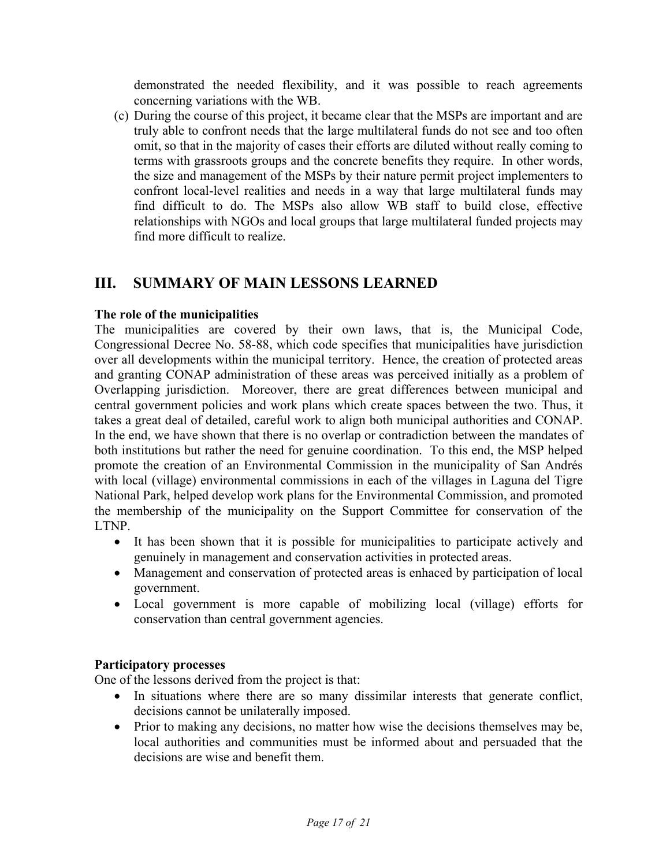demonstrated the needed flexibility, and it was possible to reach agreements concerning variations with the WB.

(c) During the course of this project, it became clear that the MSPs are important and are truly able to confront needs that the large multilateral funds do not see and too often omit, so that in the majority of cases their efforts are diluted without really coming to terms with grassroots groups and the concrete benefits they require. In other words, the size and management of the MSPs by their nature permit project implementers to confront local-level realities and needs in a way that large multilateral funds may find difficult to do. The MSPs also allow WB staff to build close, effective relationships with NGOs and local groups that large multilateral funded projects may find more difficult to realize.

# <span id="page-18-0"></span>**III. SUMMARY OF MAIN LESSONS LEARNED**

### **The role of the municipalities**

The municipalities are covered by their own laws, that is, the Municipal Code, Congressional Decree No. 58-88, which code specifies that municipalities have jurisdiction over all developments within the municipal territory. Hence, the creation of protected areas and granting CONAP administration of these areas was perceived initially as a problem of Overlapping jurisdiction. Moreover, there are great differences between municipal and central government policies and work plans which create spaces between the two. Thus, it takes a great deal of detailed, careful work to align both municipal authorities and CONAP. In the end, we have shown that there is no overlap or contradiction between the mandates of both institutions but rather the need for genuine coordination. To this end, the MSP helped promote the creation of an Environmental Commission in the municipality of San Andrés with local (village) environmental commissions in each of the villages in Laguna del Tigre National Park, helped develop work plans for the Environmental Commission, and promoted the membership of the municipality on the Support Committee for conservation of the LTNP.

- It has been shown that it is possible for municipalities to participate actively and genuinely in management and conservation activities in protected areas.
- Management and conservation of protected areas is enhaced by participation of local government.
- Local government is more capable of mobilizing local (village) efforts for conservation than central government agencies.

### **Participatory processes**

One of the lessons derived from the project is that:

- In situations where there are so many dissimilar interests that generate conflict, decisions cannot be unilaterally imposed.
- Prior to making any decisions, no matter how wise the decisions themselves may be, local authorities and communities must be informed about and persuaded that the decisions are wise and benefit them.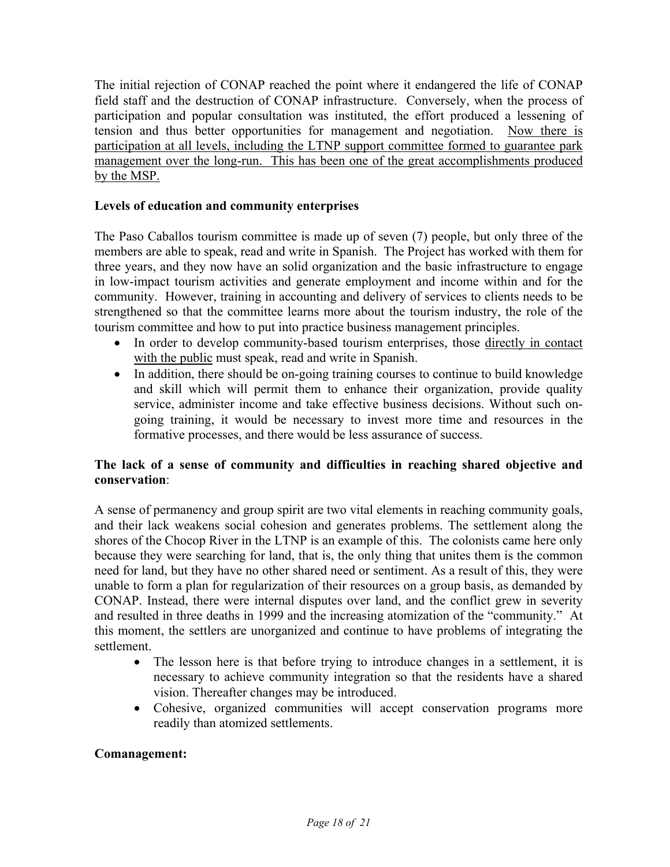The initial rejection of CONAP reached the point where it endangered the life of CONAP field staff and the destruction of CONAP infrastructure. Conversely, when the process of participation and popular consultation was instituted, the effort produced a lessening of tension and thus better opportunities for management and negotiation. Now there is participation at all levels, including the LTNP support committee formed to guarantee park management over the long-run. This has been one of the great accomplishments produced by the MSP.

### **Levels of education and community enterprises**

The Paso Caballos tourism committee is made up of seven (7) people, but only three of the members are able to speak, read and write in Spanish. The Project has worked with them for three years, and they now have an solid organization and the basic infrastructure to engage in low-impact tourism activities and generate employment and income within and for the community. However, training in accounting and delivery of services to clients needs to be strengthened so that the committee learns more about the tourism industry, the role of the tourism committee and how to put into practice business management principles.

- In order to develop community-based tourism enterprises, those directly in contact with the public must speak, read and write in Spanish.
- In addition, there should be on-going training courses to continue to build knowledge and skill which will permit them to enhance their organization, provide quality service, administer income and take effective business decisions. Without such ongoing training, it would be necessary to invest more time and resources in the formative processes, and there would be less assurance of success.

## **The lack of a sense of community and difficulties in reaching shared objective and conservation**:

A sense of permanency and group spirit are two vital elements in reaching community goals, and their lack weakens social cohesion and generates problems. The settlement along the shores of the Chocop River in the LTNP is an example of this. The colonists came here only because they were searching for land, that is, the only thing that unites them is the common need for land, but they have no other shared need or sentiment. As a result of this, they were unable to form a plan for regularization of their resources on a group basis, as demanded by CONAP. Instead, there were internal disputes over land, and the conflict grew in severity and resulted in three deaths in 1999 and the increasing atomization of the "community." At this moment, the settlers are unorganized and continue to have problems of integrating the settlement.

- The lesson here is that before trying to introduce changes in a settlement, it is necessary to achieve community integration so that the residents have a shared vision. Thereafter changes may be introduced.
- Cohesive, organized communities will accept conservation programs more readily than atomized settlements.

### **Comanagement:**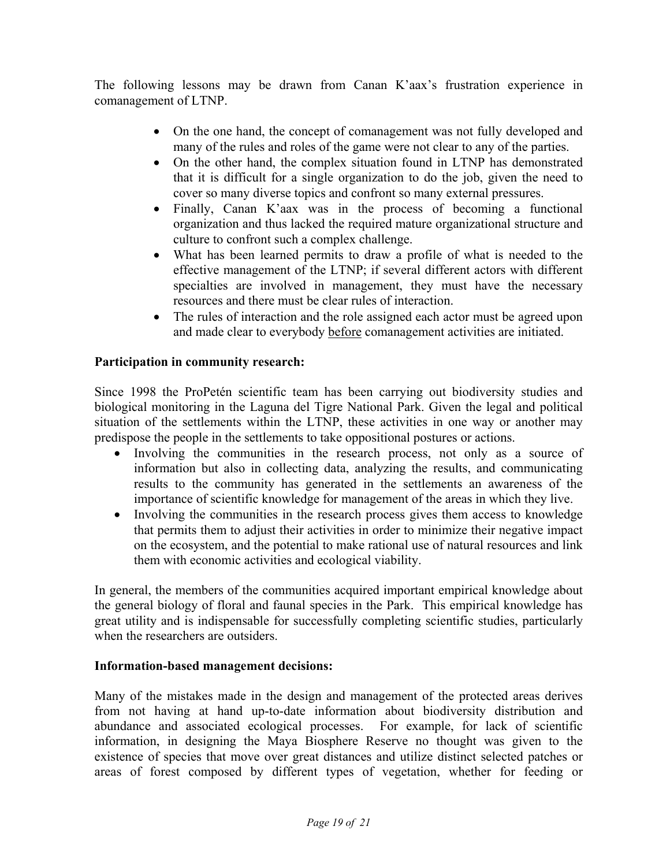The following lessons may be drawn from Canan K'aax's frustration experience in comanagement of LTNP.

- On the one hand, the concept of comanagement was not fully developed and many of the rules and roles of the game were not clear to any of the parties.
- On the other hand, the complex situation found in LTNP has demonstrated that it is difficult for a single organization to do the job, given the need to cover so many diverse topics and confront so many external pressures.
- Finally, Canan K'aax was in the process of becoming a functional organization and thus lacked the required mature organizational structure and culture to confront such a complex challenge.
- What has been learned permits to draw a profile of what is needed to the effective management of the LTNP; if several different actors with different specialties are involved in management, they must have the necessary resources and there must be clear rules of interaction.
- The rules of interaction and the role assigned each actor must be agreed upon and made clear to everybody before comanagement activities are initiated.

### **Participation in community research:**

Since 1998 the ProPetén scientific team has been carrying out biodiversity studies and biological monitoring in the Laguna del Tigre National Park. Given the legal and political situation of the settlements within the LTNP, these activities in one way or another may predispose the people in the settlements to take oppositional postures or actions.

- Involving the communities in the research process, not only as a source of information but also in collecting data, analyzing the results, and communicating results to the community has generated in the settlements an awareness of the importance of scientific knowledge for management of the areas in which they live.
- Involving the communities in the research process gives them access to knowledge that permits them to adjust their activities in order to minimize their negative impact on the ecosystem, and the potential to make rational use of natural resources and link them with economic activities and ecological viability.

In general, the members of the communities acquired important empirical knowledge about the general biology of floral and faunal species in the Park. This empirical knowledge has great utility and is indispensable for successfully completing scientific studies, particularly when the researchers are outsiders.

### **Information-based management decisions:**

Many of the mistakes made in the design and management of the protected areas derives from not having at hand up-to-date information about biodiversity distribution and abundance and associated ecological processes. For example, for lack of scientific information, in designing the Maya Biosphere Reserve no thought was given to the existence of species that move over great distances and utilize distinct selected patches or areas of forest composed by different types of vegetation, whether for feeding or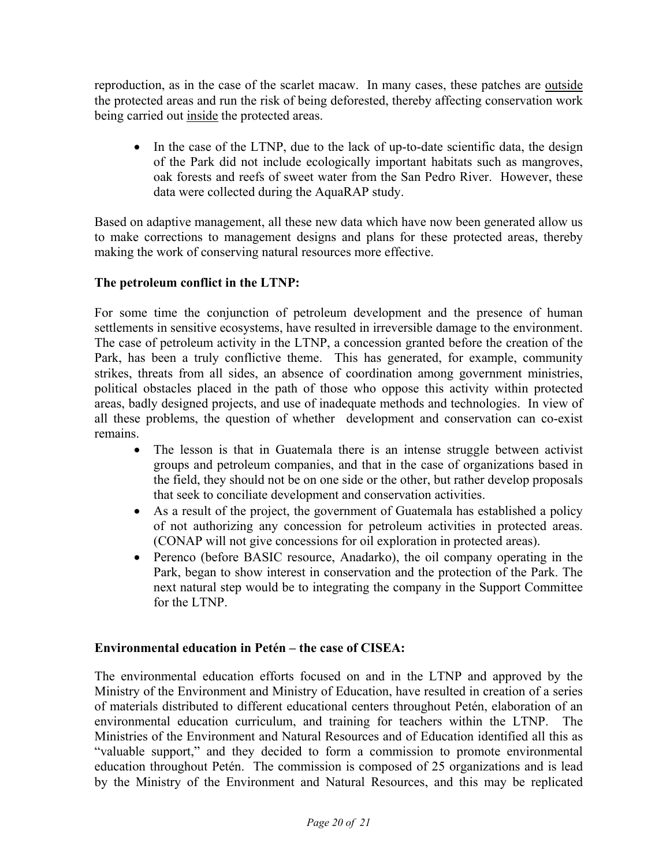reproduction, as in the case of the scarlet macaw. In many cases, these patches are outside the protected areas and run the risk of being deforested, thereby affecting conservation work being carried out inside the protected areas.

• In the case of the LTNP, due to the lack of up-to-date scientific data, the design of the Park did not include ecologically important habitats such as mangroves, oak forests and reefs of sweet water from the San Pedro River. However, these data were collected during the AquaRAP study.

Based on adaptive management, all these new data which have now been generated allow us to make corrections to management designs and plans for these protected areas, thereby making the work of conserving natural resources more effective.

## **The petroleum conflict in the LTNP:**

For some time the conjunction of petroleum development and the presence of human settlements in sensitive ecosystems, have resulted in irreversible damage to the environment. The case of petroleum activity in the LTNP, a concession granted before the creation of the Park, has been a truly conflictive theme. This has generated, for example, community strikes, threats from all sides, an absence of coordination among government ministries, political obstacles placed in the path of those who oppose this activity within protected areas, badly designed projects, and use of inadequate methods and technologies. In view of all these problems, the question of whether development and conservation can co-exist remains.

- The lesson is that in Guatemala there is an intense struggle between activist groups and petroleum companies, and that in the case of organizations based in the field, they should not be on one side or the other, but rather develop proposals that seek to conciliate development and conservation activities.
- As a result of the project, the government of Guatemala has established a policy of not authorizing any concession for petroleum activities in protected areas. (CONAP will not give concessions for oil exploration in protected areas).
- Perenco (before BASIC resource, Anadarko), the oil company operating in the Park, began to show interest in conservation and the protection of the Park. The next natural step would be to integrating the company in the Support Committee for the LTNP.

### **Environmental education in Petén – the case of CISEA:**

The environmental education efforts focused on and in the LTNP and approved by the Ministry of the Environment and Ministry of Education, have resulted in creation of a series of materials distributed to different educational centers throughout Petén, elaboration of an environmental education curriculum, and training for teachers within the LTNP. The Ministries of the Environment and Natural Resources and of Education identified all this as "valuable support," and they decided to form a commission to promote environmental education throughout Petén. The commission is composed of 25 organizations and is lead by the Ministry of the Environment and Natural Resources, and this may be replicated